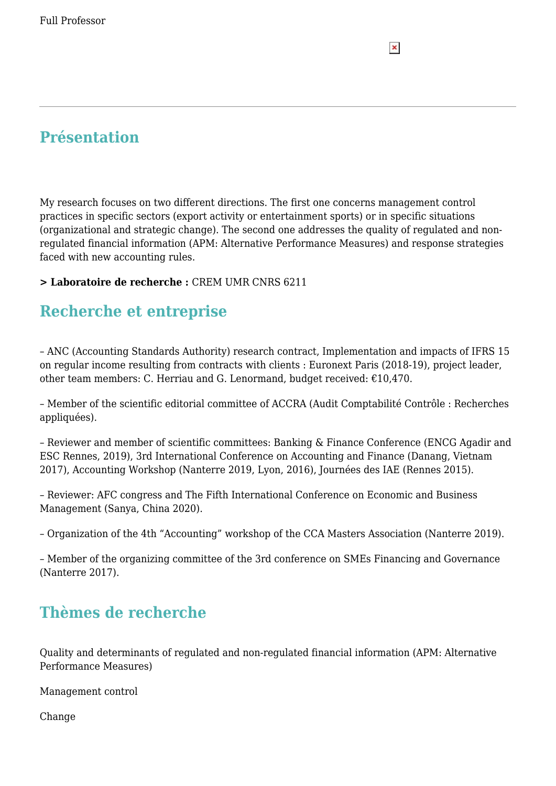## **Présentation**

My research focuses on two different directions. The first one concerns management control practices in specific sectors (export activity or entertainment sports) or in specific situations (organizational and strategic change). The second one addresses the quality of regulated and nonregulated financial information (APM: Alternative Performance Measures) and response strategies faced with new accounting rules.

 $\pmb{\times}$ 

#### **> Laboratoire de recherche :** CREM UMR CNRS 6211

### **Recherche et entreprise**

– ANC (Accounting Standards Authority) research contract, Implementation and impacts of IFRS 15 on regular income resulting from contracts with clients : Euronext Paris (2018-19), project leader, other team members: C. Herriau and G. Lenormand, budget received:  $£10,470$ .

– Member of the scientific editorial committee of ACCRA (Audit Comptabilité Contrôle : Recherches appliquées).

– Reviewer and member of scientific committees: Banking & Finance Conference (ENCG Agadir and ESC Rennes, 2019), 3rd International Conference on Accounting and Finance (Danang, Vietnam 2017), Accounting Workshop (Nanterre 2019, Lyon, 2016), Journées des IAE (Rennes 2015).

– Reviewer: AFC congress and The Fifth International Conference on Economic and Business Management (Sanya, China 2020).

– Organization of the 4th "Accounting" workshop of the CCA Masters Association (Nanterre 2019).

– Member of the organizing committee of the 3rd conference on SMEs Financing and Governance (Nanterre 2017).

### **Thèmes de recherche**

Quality and determinants of regulated and non-regulated financial information (APM: Alternative Performance Measures)

Management control

Change